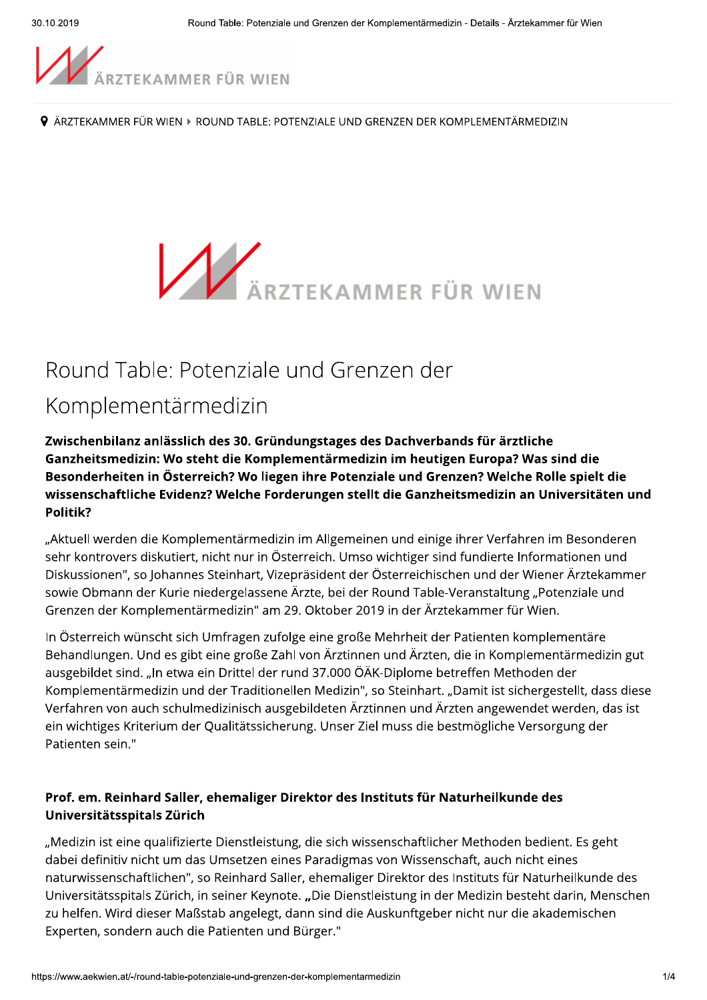

9 ÄRZTEKAMMER FÜR WIEN ▶ ROUND TABLE: POTENZIALE UND GRENZEN DER KOMPLEMENTÄRMEDIZIN



# Round Table: Potenziale und Grenzen der

## Komplementärmedizin

Zwischenbilanz anlässlich des 30. Gründungstages des Dachverbands für ärztliche Ganzheitsmedizin: Wo steht die Komplementärmedizin im heutigen Europa? Was sind die Besonderheiten in Österreich? Wo liegen ihre Potenziale und Grenzen? Welche Rolle spielt die wissenschaftliche Evidenz? Welche Forderungen stellt die Ganzheitsmedizin an Universitäten und Politik?

"Aktuell werden die Komplementärmedizin im Allgemeinen und einige ihrer Verfahren im Besonderen sehr kontrovers diskutiert, nicht nur in Österreich. Umso wichtiger sind fundierte Informationen und Diskussionen", so Johannes Steinhart, Vizepräsident der Österreichischen und der Wiener Ärztekammer sowie Obmann der Kurie niedergelassene Ärzte, bei der Round Table-Veranstaltung "Potenziale und Grenzen der Komplementärmedizin" am 29. Oktober 2019 in der Ärztekammer für Wien.

In Österreich wünscht sich Umfragen zufolge eine große Mehrheit der Patienten komplementäre Behandlungen. Und es gibt eine große Zahl von Ärztinnen und Ärzten, die in Komplementärmedizin gut ausgebildet sind. "In etwa ein Drittel der rund 37.000 ÖÄK-Diplome betreffen Methoden der Komplementärmedizin und der Traditionellen Medizin", so Steinhart. "Damit ist sichergestellt, dass diese Verfahren von auch schulmedizinisch ausgebildeten Ärztinnen und Ärzten angewendet werden, das ist ein wichtiges Kriterium der Qualitätssicherung. Unser Ziel muss die bestmögliche Versorgung der Patienten sein."

#### Prof. em. Reinhard Saller, ehemaliger Direktor des Instituts für Naturheilkunde des Universitätsspitals Zürich

"Medizin ist eine qualifizierte Dienstleistung, die sich wissenschaftlicher Methoden bedient. Es geht dabei definitiv nicht um das Umsetzen eines Paradigmas von Wissenschaft, auch nicht eines naturwissenschaftlichen", so Reinhard Saller, ehemaliger Direktor des Instituts für Naturheilkunde des Universitätsspitals Zürich, in seiner Keynote. "Die Dienstleistung in der Medizin besteht darin, Menschen zu helfen. Wird dieser Maßstab angelegt, dann sind die Auskunftgeber nicht nur die akademischen Experten, sondern auch die Patienten und Bürger."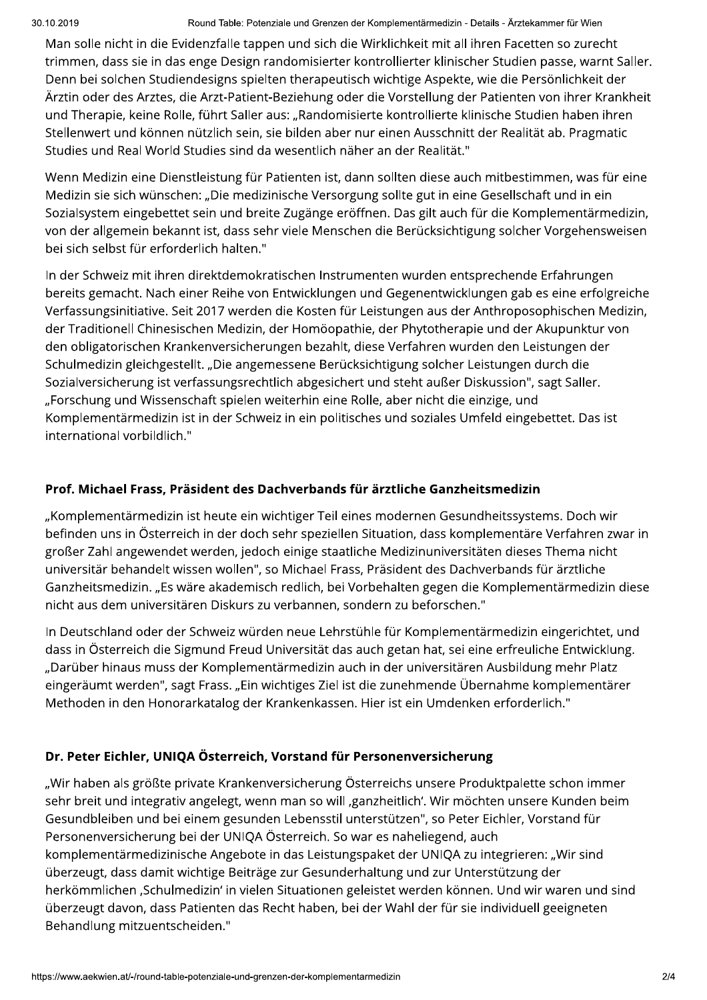#### Round Table: Potenziale und Grenzen der Komplementärmedizin - Details - Ärztekammer für Wien

Man solle nicht in die Evidenzfalle tappen und sich die Wirklichkeit mit all ihren Facetten so zurecht trimmen, dass sie in das enge Design randomisierter kontrollierter klinischer Studien passe, warnt Saller. Denn bei solchen Studiendesigns spielten therapeutisch wichtige Aspekte, wie die Persönlichkeit der Ärztin oder des Arztes, die Arzt-Patient-Beziehung oder die Vorstellung der Patienten von ihrer Krankheit und Therapie, keine Rolle, führt Saller aus: "Randomisierte kontrollierte klinische Studien haben ihren Stellenwert und können nützlich sein, sie bilden aber nur einen Ausschnitt der Realität ab. Pragmatic Studies und Real World Studies sind da wesentlich näher an der Realität."

Wenn Medizin eine Dienstleistung für Patienten ist, dann sollten diese auch mitbestimmen, was für eine Medizin sie sich wünschen: "Die medizinische Versorgung sollte gut in eine Gesellschaft und in ein Sozialsystem eingebettet sein und breite Zugänge eröffnen. Das gilt auch für die Komplementärmedizin, von der allgemein bekannt ist, dass sehr viele Menschen die Berücksichtigung solcher Vorgehensweisen bei sich selbst für erforderlich halten."

In der Schweiz mit ihren direktdemokratischen Instrumenten wurden entsprechende Erfahrungen bereits gemacht. Nach einer Reihe von Entwicklungen und Gegenentwicklungen gab es eine erfolgreiche Verfassungsinitiative. Seit 2017 werden die Kosten für Leistungen aus der Anthroposophischen Medizin, der Traditionell Chinesischen Medizin, der Homöopathie, der Phytotherapie und der Akupunktur von den obligatorischen Krankenversicherungen bezahlt, diese Verfahren wurden den Leistungen der Schulmedizin gleichgestellt. "Die angemessene Berücksichtigung solcher Leistungen durch die Sozialversicherung ist verfassungsrechtlich abgesichert und steht außer Diskussion", sagt Saller. "Forschung und Wissenschaft spielen weiterhin eine Rolle, aber nicht die einzige, und Komplementärmedizin ist in der Schweiz in ein politisches und soziales Umfeld eingebettet. Das ist international vorbildlich."

#### Prof. Michael Frass, Präsident des Dachverbands für ärztliche Ganzheitsmedizin

"Komplementärmedizin ist heute ein wichtiger Teil eines modernen Gesundheitssystems. Doch wir befinden uns in Österreich in der doch sehr speziellen Situation, dass komplementäre Verfahren zwar in großer Zahl angewendet werden, jedoch einige staatliche Medizinuniversitäten dieses Thema nicht universitär behandelt wissen wollen", so Michael Frass, Präsident des Dachverbands für ärztliche Ganzheitsmedizin. "Es wäre akademisch redlich, bei Vorbehalten gegen die Komplementärmedizin diese nicht aus dem universitären Diskurs zu verbannen, sondern zu beforschen."

In Deutschland oder der Schweiz würden neue Lehrstühle für Komplementärmedizin eingerichtet, und dass in Österreich die Sigmund Freud Universität das auch getan hat, sei eine erfreuliche Entwicklung. "Darüber hinaus muss der Komplementärmedizin auch in der universitären Ausbildung mehr Platz eingeräumt werden", sagt Frass. "Ein wichtiges Ziel ist die zunehmende Übernahme komplementärer Methoden in den Honorarkatalog der Krankenkassen. Hier ist ein Umdenken erforderlich."

#### Dr. Peter Eichler, UNIQA Österreich, Vorstand für Personenversicherung

"Wir haben als größte private Krankenversicherung Österreichs unsere Produktpalette schon immer sehr breit und integrativ angelegt, wenn man so will ,ganzheitlich'. Wir möchten unsere Kunden beim Gesundbleiben und bei einem gesunden Lebensstil unterstützen", so Peter Eichler, Vorstand für Personenversicherung bei der UNIQA Österreich. So war es naheliegend, auch komplementärmedizinische Angebote in das Leistungspaket der UNIQA zu integrieren: "Wir sind überzeugt, dass damit wichtige Beiträge zur Gesunderhaltung und zur Unterstützung der herkömmlichen 'Schulmedizin' in vielen Situationen geleistet werden können. Und wir waren und sind überzeugt davon, dass Patienten das Recht haben, bei der Wahl der für sie individuell geeigneten Behandlung mitzuentscheiden."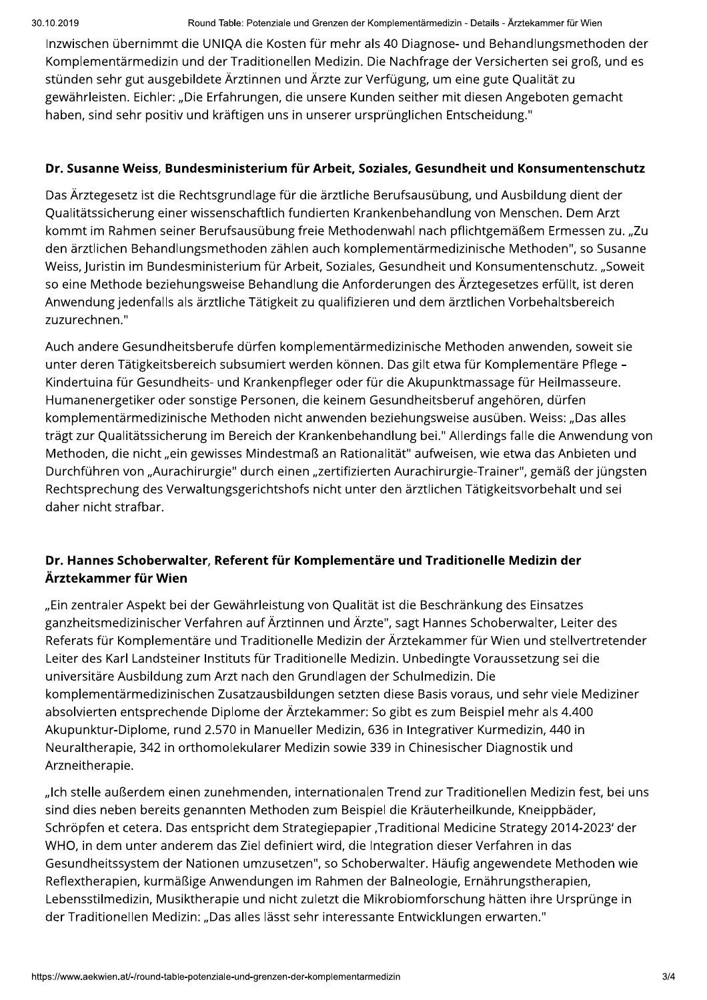Inzwischen übernimmt die UNIQA die Kosten für mehr als 40 Diagnose- und Behandlungsmethoden der Komplementärmedizin und der Traditionellen Medizin. Die Nachfrage der Versicherten sei groß, und es stünden sehr gut ausgebildete Ärztinnen und Ärzte zur Verfügung, um eine gute Qualität zu gewährleisten. Eichler: "Die Erfahrungen, die unsere Kunden seither mit diesen Angeboten gemacht haben, sind sehr positiv und kräftigen uns in unserer ursprünglichen Entscheidung."

#### Dr. Susanne Weiss, Bundesministerium für Arbeit, Soziales, Gesundheit und Konsumentenschutz

Das Ärztegesetz ist die Rechtsgrundlage für die ärztliche Berufsausübung, und Ausbildung dient der Qualitätssicherung einer wissenschaftlich fundierten Krankenbehandlung von Menschen. Dem Arzt kommt im Rahmen seiner Berufsausübung freie Methodenwahl nach pflichtgemäßem Ermessen zu. "Zu den ärztlichen Behandlungsmethoden zählen auch komplementärmedizinische Methoden", so Susanne Weiss, Juristin im Bundesministerium für Arbeit, Soziales, Gesundheit und Konsumentenschutz. "Soweit so eine Methode beziehungsweise Behandlung die Anforderungen des Ärztegesetzes erfüllt, ist deren Anwendung jedenfalls als ärztliche Tätigkeit zu qualifizieren und dem ärztlichen Vorbehaltsbereich zuzurechnen."

Auch andere Gesundheitsberufe dürfen komplementärmedizinische Methoden anwenden, soweit sie unter deren Tätigkeitsbereich subsumiert werden können. Das gilt etwa für Komplementäre Pflege -Kindertuina für Gesundheits- und Krankenpfleger oder für die Akupunktmassage für Heilmasseure. Humanenergetiker oder sonstige Personen, die keinem Gesundheitsberuf angehören, dürfen komplementärmedizinische Methoden nicht anwenden beziehungsweise ausüben. Weiss: "Das alles trägt zur Qualitätssicherung im Bereich der Krankenbehandlung bei." Allerdings falle die Anwendung von Methoden, die nicht "ein gewisses Mindestmaß an Rationalität" aufweisen, wie etwa das Anbieten und Durchführen von "Aurachirurgie" durch einen "zertifizierten Aurachirurgie-Trainer", gemäß der jüngsten Rechtsprechung des Verwaltungsgerichtshofs nicht unter den ärztlichen Tätigkeitsvorbehalt und sei daher nicht strafbar.

### Dr. Hannes Schoberwalter, Referent für Komplementäre und Traditionelle Medizin der Ärztekammer für Wien

"Ein zentraler Aspekt bei der Gewährleistung von Qualität ist die Beschränkung des Einsatzes ganzheitsmedizinischer Verfahren auf Ärztinnen und Ärzte", sagt Hannes Schoberwalter, Leiter des Referats für Komplementäre und Traditionelle Medizin der Ärztekammer für Wien und stellvertretender Leiter des Karl Landsteiner Instituts für Traditionelle Medizin. Unbedingte Voraussetzung sei die universitäre Ausbildung zum Arzt nach den Grundlagen der Schulmedizin. Die komplementärmedizinischen Zusatzausbildungen setzten diese Basis voraus, und sehr viele Mediziner absolvierten entsprechende Diplome der Ärztekammer: So gibt es zum Beispiel mehr als 4.400 Akupunktur-Diplome, rund 2.570 in Manueller Medizin, 636 in Integrativer Kurmedizin, 440 in Neuraltherapie, 342 in orthomolekularer Medizin sowie 339 in Chinesischer Diagnostik und Arzneitherapie.

Musiktherapie und nicht zuletzt d<br>Musiktherapie und nicht zuletzt d<br>Aedizin: "Das alles lässt sehr inter<br>1-table-potenziale-und-grenzen-der-kompleme "Ich stelle außerdem einen zunehmenden, internationalen Trend zur Traditionellen Medizin fest, bei uns sind dies neben bereits genannten Methoden zum Beispiel die Kräuterheilkunde, Kneippbäder, Schröpfen et cetera. Das entspricht dem Strategiepapier ,Traditional Medicine Strategy 2014-2023' der WHO, in dem unter anderem das Ziel definiert wird, die Integration dieser Verfahren in das Gesundheitssystem der Nationen umzusetzen", so Schoberwalter. Häufig angewendete Methoden wie Reflextherapien, kurmäßige Anwendungen im Rahmen der Balneologie, Ernährungstherapien, Lebensstilmedizin, Musiktherapie und nicht zuletzt die Mikrobiomforschung hätten ihre Ursprünge in der Traditionellen Medizin: "Das alles lässt sehr interessante Entwicklungen erwarten."